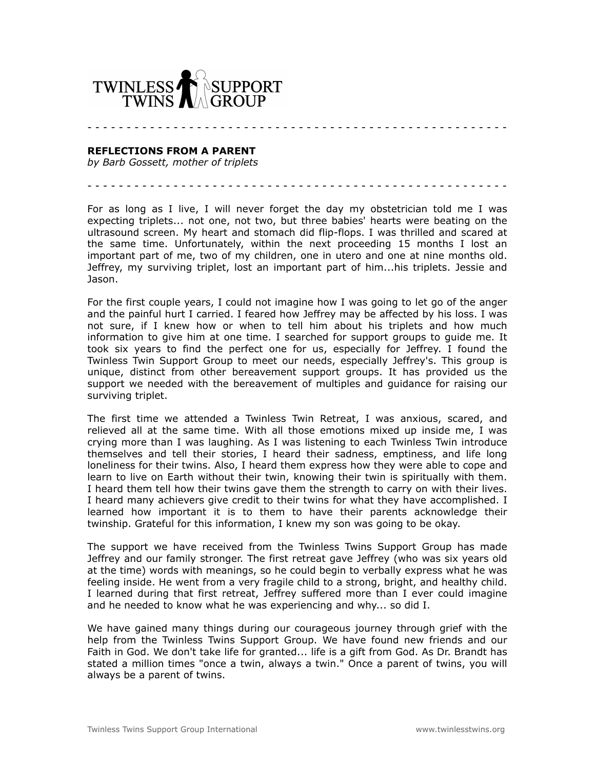

## **REFLECTIONS FROM A PARENT**

*by Barb Gossett, mother of triplets*

For as long as I live, I will never forget the day my obstetrician told me I was expecting triplets... not one, not two, but three babies' hearts were beating on the ultrasound screen. My heart and stomach did flip-flops. I was thrilled and scared at the same time. Unfortunately, within the next proceeding 15 months I lost an important part of me, two of my children, one in utero and one at nine months old. Jeffrey, my surviving triplet, lost an important part of him...his triplets. Jessie and Jason.

- - - - - - - - - - - - - - - - - - - - - - - - - - - - - - - - - - - - - - - - - - - - - - - - - - - - - -

- - - - - - - - - - - - - - - - - - - - - - - - - - - - - - - - - - - - - - - - - - - - - - - - - - - - - -

For the first couple years, I could not imagine how I was going to let go of the anger and the painful hurt I carried. I feared how Jeffrey may be affected by his loss. I was not sure, if I knew how or when to tell him about his triplets and how much information to give him at one time. I searched for support groups to guide me. It took six years to find the perfect one for us, especially for Jeffrey. I found the Twinless Twin Support Group to meet our needs, especially Jeffrey's. This group is unique, distinct from other bereavement support groups. It has provided us the support we needed with the bereavement of multiples and guidance for raising our surviving triplet.

The first time we attended a Twinless Twin Retreat, I was anxious, scared, and relieved all at the same time. With all those emotions mixed up inside me, I was crying more than I was laughing. As I was listening to each Twinless Twin introduce themselves and tell their stories, I heard their sadness, emptiness, and life long loneliness for their twins. Also, I heard them express how they were able to cope and learn to live on Earth without their twin, knowing their twin is spiritually with them. I heard them tell how their twins gave them the strength to carry on with their lives. I heard many achievers give credit to their twins for what they have accomplished. I learned how important it is to them to have their parents acknowledge their twinship. Grateful for this information, I knew my son was going to be okay.

The support we have received from the Twinless Twins Support Group has made Jeffrey and our family stronger. The first retreat gave Jeffrey (who was six years old at the time) words with meanings, so he could begin to verbally express what he was feeling inside. He went from a very fragile child to a strong, bright, and healthy child. I learned during that first retreat, Jeffrey suffered more than I ever could imagine and he needed to know what he was experiencing and why... so did I.

We have gained many things during our courageous journey through grief with the help from the Twinless Twins Support Group. We have found new friends and our Faith in God. We don't take life for granted... life is a gift from God. As Dr. Brandt has stated a million times "once a twin, always a twin." Once a parent of twins, you will always be a parent of twins.